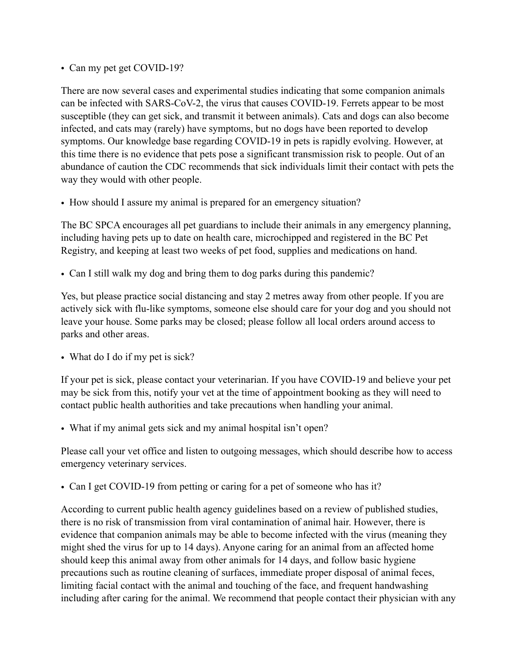• Can my pet get COVID-19?

There are now several cases and experimental studies indicating that some companion animals can be infected with SARS-CoV-2, the virus that causes COVID-19. Ferrets appear to be most susceptible (they can get sick, and transmit it between animals). Cats and dogs can also become infected, and cats may (rarely) have symptoms, but no dogs have been reported to develop symptoms. Our knowledge base regarding COVID-19 in pets is rapidly evolving. However, at this time there is no evidence that pets pose a significant transmission risk to people. Out of an abundance of caution the CDC recommends that sick individuals limit their contact with pets the way they would with other people.

• How should I assure my animal is prepared for an emergency situation?

The BC SPCA encourages all pet guardians to include their animals in any emergency planning, including having pets up to date on health care, microchipped and registered in the BC Pet Registry, and keeping at least two weeks of pet food, supplies and medications on hand.

• Can I still walk my dog and bring them to dog parks during this pandemic?

Yes, but please practice social distancing and stay 2 metres away from other people. If you are actively sick with flu-like symptoms, someone else should care for your dog and you should not leave your house. Some parks may be closed; please follow all local orders around access to parks and other areas.

• What do I do if my pet is sick?

If your pet is sick, please contact your veterinarian. If you have COVID-19 and believe your pet may be sick from this, notify your vet at the time of appointment booking as they will need to contact public health authorities and take precautions when handling your animal.

• What if my animal gets sick and my animal hospital isn't open?

Please call your vet office and listen to outgoing messages, which should describe how to access emergency veterinary services.

• Can I get COVID-19 from petting or caring for a pet of someone who has it?

According to current public health agency guidelines based on a review of published studies, there is no risk of transmission from viral contamination of animal hair. However, there is evidence that companion animals may be able to become infected with the virus (meaning they might shed the virus for up to 14 days). Anyone caring for an animal from an affected home should keep this animal away from other animals for 14 days, and follow basic hygiene precautions such as routine cleaning of surfaces, immediate proper disposal of animal feces, limiting facial contact with the animal and touching of the face, and frequent handwashing including after caring for the animal. We recommend that people contact their physician with any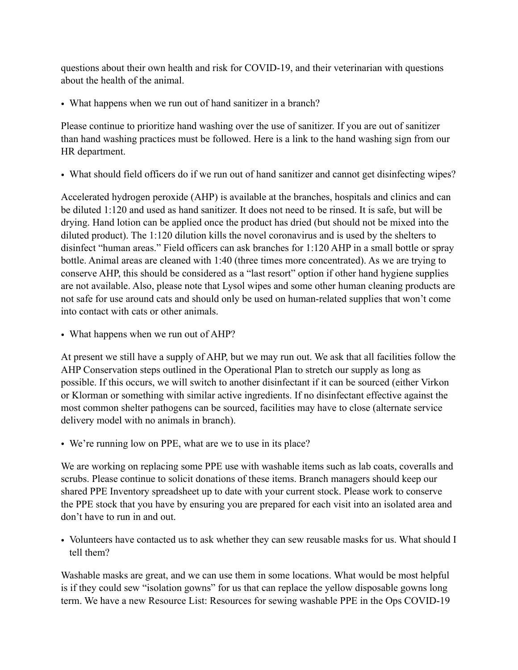questions about their own health and risk for COVID-19, and their veterinarian with questions about the health of the animal.

• What happens when we run out of hand sanitizer in a branch?

Please continue to prioritize hand washing over the use of sanitizer. If you are out of sanitizer than hand washing practices must be followed. Here is a link to the hand washing sign from our HR department.

• What should field officers do if we run out of hand sanitizer and cannot get disinfecting wipes?

Accelerated hydrogen peroxide (AHP) is available at the branches, hospitals and clinics and can be diluted 1:120 and used as hand sanitizer. It does not need to be rinsed. It is safe, but will be drying. Hand lotion can be applied once the product has dried (but should not be mixed into the diluted product). The 1:120 dilution kills the novel coronavirus and is used by the shelters to disinfect "human areas." Field officers can ask branches for 1:120 AHP in a small bottle or spray bottle. Animal areas are cleaned with 1:40 (three times more concentrated). As we are trying to conserve AHP, this should be considered as a "last resort" option if other hand hygiene supplies are not available. Also, please note that Lysol wipes and some other human cleaning products are not safe for use around cats and should only be used on human-related supplies that won't come into contact with cats or other animals.

• What happens when we run out of AHP?

At present we still have a supply of AHP, but we may run out. We ask that all facilities follow the AHP Conservation steps outlined in the Operational Plan to stretch our supply as long as possible. If this occurs, we will switch to another disinfectant if it can be sourced (either Virkon or Klorman or something with similar active ingredients. If no disinfectant effective against the most common shelter pathogens can be sourced, facilities may have to close (alternate service delivery model with no animals in branch).

• We're running low on PPE, what are we to use in its place?

We are working on replacing some PPE use with washable items such as lab coats, coveralls and scrubs. Please continue to solicit donations of these items. Branch managers should keep our shared PPE Inventory spreadsheet up to date with your current stock. Please work to conserve the PPE stock that you have by ensuring you are prepared for each visit into an isolated area and don't have to run in and out.

• Volunteers have contacted us to ask whether they can sew reusable masks for us. What should I tell them?

Washable masks are great, and we can use them in some locations. What would be most helpful is if they could sew "isolation gowns" for us that can replace the yellow disposable gowns long term. We have a new Resource List: Resources for sewing washable PPE in the Ops COVID-19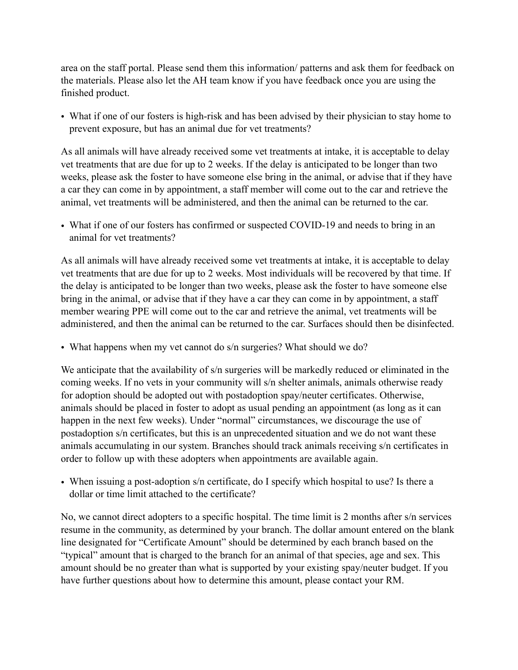area on the staff portal. Please send them this information/ patterns and ask them for feedback on the materials. Please also let the AH team know if you have feedback once you are using the finished product.

• What if one of our fosters is high-risk and has been advised by their physician to stay home to prevent exposure, but has an animal due for vet treatments?

As all animals will have already received some vet treatments at intake, it is acceptable to delay vet treatments that are due for up to 2 weeks. If the delay is anticipated to be longer than two weeks, please ask the foster to have someone else bring in the animal, or advise that if they have a car they can come in by appointment, a staff member will come out to the car and retrieve the animal, vet treatments will be administered, and then the animal can be returned to the car.

• What if one of our fosters has confirmed or suspected COVID-19 and needs to bring in an animal for vet treatments?

As all animals will have already received some vet treatments at intake, it is acceptable to delay vet treatments that are due for up to 2 weeks. Most individuals will be recovered by that time. If the delay is anticipated to be longer than two weeks, please ask the foster to have someone else bring in the animal, or advise that if they have a car they can come in by appointment, a staff member wearing PPE will come out to the car and retrieve the animal, vet treatments will be administered, and then the animal can be returned to the car. Surfaces should then be disinfected.

• What happens when my vet cannot do s/n surgeries? What should we do?

We anticipate that the availability of s/n surgeries will be markedly reduced or eliminated in the coming weeks. If no vets in your community will s/n shelter animals, animals otherwise ready for adoption should be adopted out with postadoption spay/neuter certificates. Otherwise, animals should be placed in foster to adopt as usual pending an appointment (as long as it can happen in the next few weeks). Under "normal" circumstances, we discourage the use of postadoption s/n certificates, but this is an unprecedented situation and we do not want these animals accumulating in our system. Branches should track animals receiving s/n certificates in order to follow up with these adopters when appointments are available again.

• When issuing a post-adoption s/n certificate, do I specify which hospital to use? Is there a dollar or time limit attached to the certificate?

No, we cannot direct adopters to a specific hospital. The time limit is 2 months after s/n services resume in the community, as determined by your branch. The dollar amount entered on the blank line designated for "Certificate Amount" should be determined by each branch based on the "typical" amount that is charged to the branch for an animal of that species, age and sex. This amount should be no greater than what is supported by your existing spay/neuter budget. If you have further questions about how to determine this amount, please contact your RM.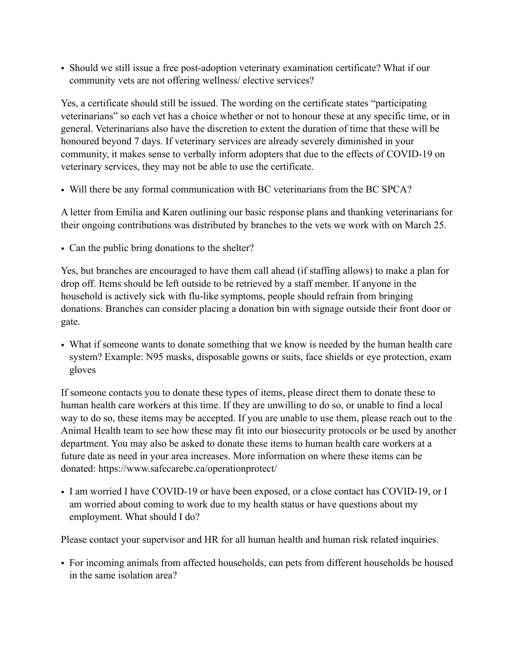• Should we still issue a free post-adoption veterinary examination certificate? What if our community vets are not offering wellness/ elective services?

Yes, a certificate should still be issued. The wording on the certificate states "participating veterinarians" so each vet has a choice whether or not to honour these at any specific time, or in general. Veterinarians also have the discretion to extent the duration of time that these will be honoured beyond 7 days. If veterinary services are already severely diminished in your community, it makes sense to verbally inform adopters that due to the effects of COVID-19 on veterinary services, they may not be able to use the certificate.

• Will there be any formal communication with BC veterinarians from the BC SPCA?

A letter from Emilia and Karen outlining our basic response plans and thanking veterinarians for their ongoing contributions was distributed by branches to the vets we work with on March 25.

• Can the public bring donations to the shelter?

Yes, but branches are encouraged to have them call ahead (if staffing allows) to make a plan for drop off. Items should be left outside to be retrieved by a staff member. If anyone in the household is actively sick with flu-like symptoms, people should refrain from bringing donations. Branches can consider placing a donation bin with signage outside their front door or gate.

• What if someone wants to donate something that we know is needed by the human health care system? Example: N95 masks, disposable gowns or suits, face shields or eye protection, exam gloves

If someone contacts you to donate these types of items, please direct them to donate these to human health care workers at this time. If they are unwilling to do so, or unable to find a local way to do so, these items may be accepted. If you are unable to use them, please reach out to the Animal Health team to see how these may fit into our biosecurity protocols or be used by another department. You may also be asked to donate these items to human health care workers at a future date as need in your area increases. More information on where these items can be donated: https://www.safecarebc.ca/operationprotect/

• I am worried I have COVID-19 or have been exposed, or a close contact has COVID-19, or I am worried about coming to work due to my health status or have questions about my employment. What should I do?

Please contact your supervisor and HR for all human health and human risk related inquiries.

• For incoming animals from affected households, can pets from different households be housed in the same isolation area?